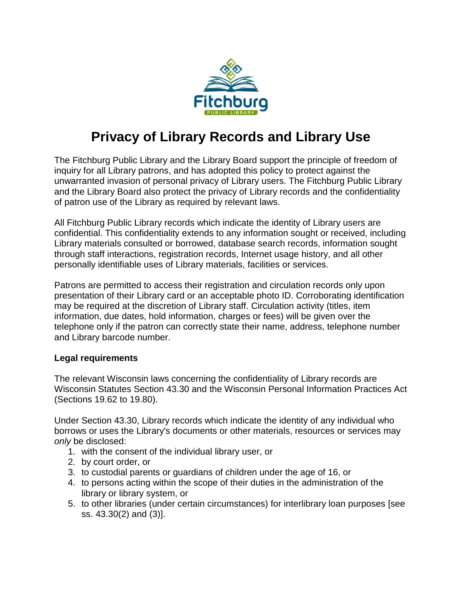

# **Privacy of Library Records and Library Use**

The Fitchburg Public Library and the Library Board support the principle of freedom of inquiry for all Library patrons, and has adopted this policy to protect against the unwarranted invasion of personal privacy of Library users. The Fitchburg Public Library and the Library Board also protect the privacy of Library records and the confidentiality of patron use of the Library as required by relevant laws.

All Fitchburg Public Library records which indicate the identity of Library users are confidential. This confidentiality extends to any information sought or received, including Library materials consulted or borrowed, database search records, information sought through staff interactions, registration records, Internet usage history, and all other personally identifiable uses of Library materials, facilities or services.

Patrons are permitted to access their registration and circulation records only upon presentation of their Library card or an acceptable photo ID. Corroborating identification may be required at the discretion of Library staff. Circulation activity (titles, item information, due dates, hold information, charges or fees) will be given over the telephone only if the patron can correctly state their name, address, telephone number and Library barcode number.

### **Legal requirements**

The relevant Wisconsin laws concerning the confidentiality of Library records are Wisconsin Statutes Section 43.30 and the Wisconsin Personal Information Practices Act (Sections 19.62 to 19.80).

Under Section 43.30, Library records which indicate the identity of any individual who borrows or uses the Library's documents or other materials, resources or services may *only* be disclosed:

- 1. with the consent of the individual library user, or
- 2. by court order, or
- 3. to custodial parents or guardians of children under the age of 16, or
- 4. to persons acting within the scope of their duties in the administration of the library or library system, or
- 5. to other libraries (under certain circumstances) for interlibrary loan purposes [see ss. 43.30(2) and (3)].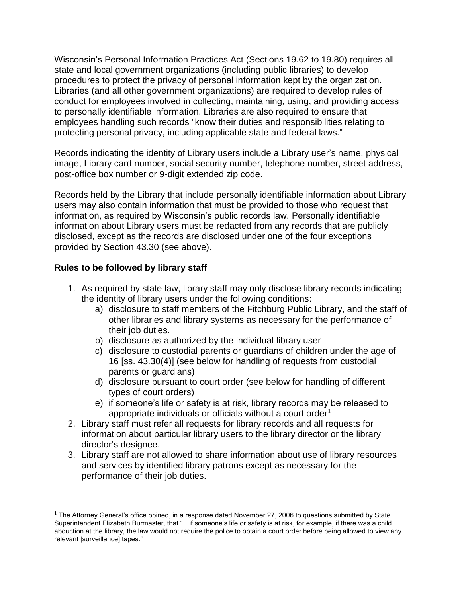Wisconsin's Personal Information Practices Act (Sections 19.62 to 19.80) requires all state and local government organizations (including public libraries) to develop procedures to protect the privacy of personal information kept by the organization. Libraries (and all other government organizations) are required to develop rules of conduct for employees involved in collecting, maintaining, using, and providing access to personally identifiable information. Libraries are also required to ensure that employees handling such records "know their duties and responsibilities relating to protecting personal privacy, including applicable state and federal laws."

Records indicating the identity of Library users include a Library user's name, physical image, Library card number, social security number, telephone number, street address, post-office box number or 9-digit extended zip code.

Records held by the Library that include personally identifiable information about Library users may also contain information that must be provided to those who request that information, as required by Wisconsin's public records law. Personally identifiable information about Library users must be redacted from any records that are publicly disclosed, except as the records are disclosed under one of the four exceptions provided by Section 43.30 (see above).

## **Rules to be followed by library staff**

 $\overline{a}$ 

- 1. As required by state law, library staff may only disclose library records indicating the identity of library users under the following conditions:
	- a) disclosure to staff members of the Fitchburg Public Library, and the staff of other libraries and library systems as necessary for the performance of their job duties.
	- b) disclosure as authorized by the individual library user
	- c) disclosure to custodial parents or guardians of children under the age of 16 [ss. 43.30(4)] (see below for handling of requests from custodial parents or guardians)
	- d) disclosure pursuant to court order (see below for handling of different types of court orders)
	- e) if someone's life or safety is at risk, library records may be released to appropriate individuals or officials without a court order<sup>1</sup>
- 2. Library staff must refer all requests for library records and all requests for information about particular library users to the library director or the library director's designee.
- 3. Library staff are not allowed to share information about use of library resources and services by identified library patrons except as necessary for the performance of their job duties.

 $1$  The Attorney General's office opined, in a response dated November 27, 2006 to questions submitted by State Superintendent Elizabeth Burmaster, that "…if someone's life or safety is at risk, for example, if there was a child abduction at the library, the law would not require the police to obtain a court order before being allowed to view any relevant [surveillance] tapes."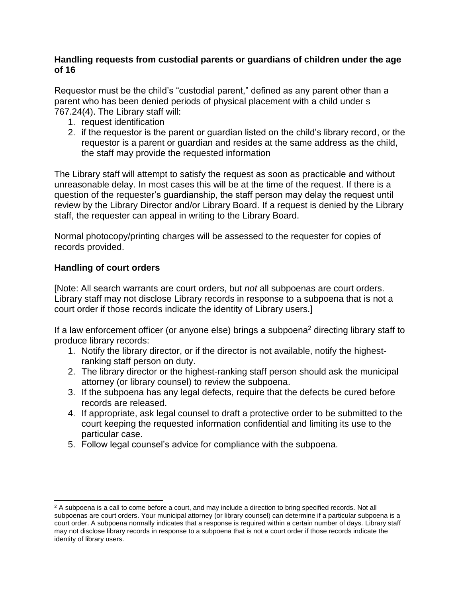### **Handling requests from custodial parents or guardians of children under the age of 16**

Requestor must be the child's "custodial parent," defined as any parent other than a parent who has been denied periods of physical placement with a child under s 767.24(4). The Library staff will:

- 1. request identification
- 2. if the requestor is the parent or guardian listed on the child's library record, or the requestor is a parent or guardian and resides at the same address as the child, the staff may provide the requested information

The Library staff will attempt to satisfy the request as soon as practicable and without unreasonable delay. In most cases this will be at the time of the request. If there is a question of the requester's guardianship, the staff person may delay the request until review by the Library Director and/or Library Board. If a request is denied by the Library staff, the requester can appeal in writing to the Library Board.

Normal photocopy/printing charges will be assessed to the requester for copies of records provided.

## **Handling of court orders**

[Note: All search warrants are court orders, but *not* all subpoenas are court orders. Library staff may not disclose Library records in response to a subpoena that is not a court order if those records indicate the identity of Library users.]

If a law enforcement officer (or anyone else) brings a subpoena<sup>2</sup> directing library staff to produce library records:

- 1. Notify the library director, or if the director is not available, notify the highestranking staff person on duty.
- 2. The library director or the highest-ranking staff person should ask the municipal attorney (or library counsel) to review the subpoena.
- 3. If the subpoena has any legal defects, require that the defects be cured before records are released.
- 4. If appropriate, ask legal counsel to draft a protective order to be submitted to the court keeping the requested information confidential and limiting its use to the particular case.
- 5. Follow legal counsel's advice for compliance with the subpoena.

 $\overline{a}$ <sup>2</sup> A subpoena is a call to come before a court, and may include a direction to bring specified records. Not all subpoenas are court orders. Your municipal attorney (or library counsel) can determine if a particular subpoena is a court order. A subpoena normally indicates that a response is required within a certain number of days. Library staff may not disclose library records in response to a subpoena that is not a court order if those records indicate the identity of library users.